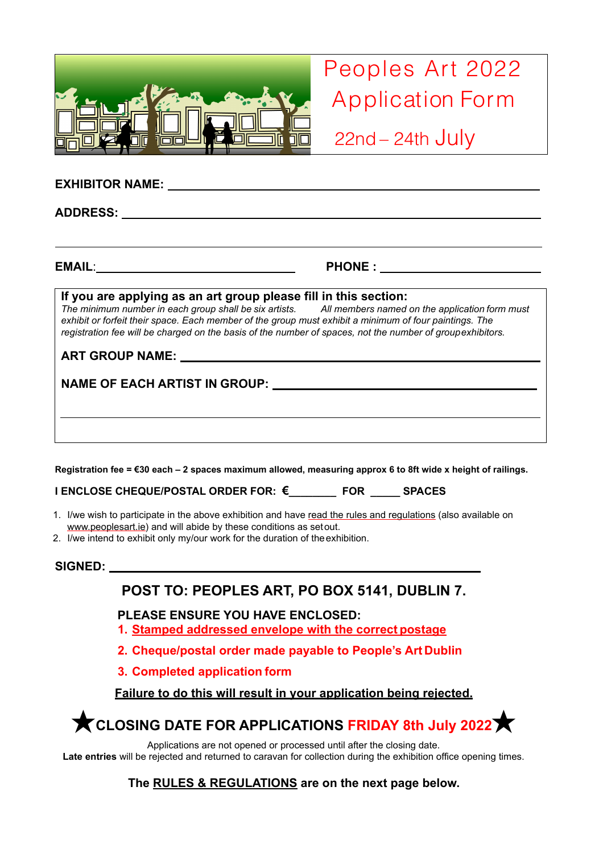

Peoples Art 2022 Application Form

22nd – 24th July

| If you are applying as an art group please fill in this section:<br>The minimum number in each group shall be six artists. All members named on the application form must<br>exhibit or forfeit their space. Each member of the group must exhibit a minimum of four paintings. The<br>registration fee will be charged on the basis of the number of spaces, not the number of groupexhibitors.<br>ART GROUP NAME: NAME ART CROUP NAME AND THE CONTROL OF THE CONTROL OF THE CONTROL OF THE CONTROL OF THE CONTROL OF THE CONTROL OF THE CONTROL OF THE CONTROL OF THE CONTROL OF THE CONTROL OF THE CONTROL OF THE CONTROL OF TH |
|------------------------------------------------------------------------------------------------------------------------------------------------------------------------------------------------------------------------------------------------------------------------------------------------------------------------------------------------------------------------------------------------------------------------------------------------------------------------------------------------------------------------------------------------------------------------------------------------------------------------------------|
|                                                                                                                                                                                                                                                                                                                                                                                                                                                                                                                                                                                                                                    |

**I ENCLOSE CHEQUE/POSTAL ORDER FOR: €\_\_\_\_\_\_\_\_ FOR \_\_\_\_\_ SPACES**

- 1. I/we wish to participate in the above exhibition and have read the rules and regulations (also available on [www.peoplesart.ie\)](http://www.peoplesart.ie/) and will abide by these conditions as setout.
- 2. I/we intend to exhibit only my/our work for the duration of theexhibition.

#### **SIGNED:**

## **POST TO: PEOPLES ART, PO BOX 5141, DUBLIN 7.**

#### **PLEASE ENSURE YOU HAVE ENCLOSED:**

- **1. Stamped addressed envelope with the correct postage**
- **2. Cheque/postal order made payable to People's Art Dublin**
- **3. Completed application form**

### **Failure to do this will result in your application being rejected.**

★**CLOSING DATE FOR APPLICATIONS FRIDAY 8th July 2022**★

Applications are not opened or processed until after the closing date.

**Late entries** will be rejected and returned to caravan for collection during the exhibition office opening times.

#### **The RULES & REGULATIONS are on the next page below.**